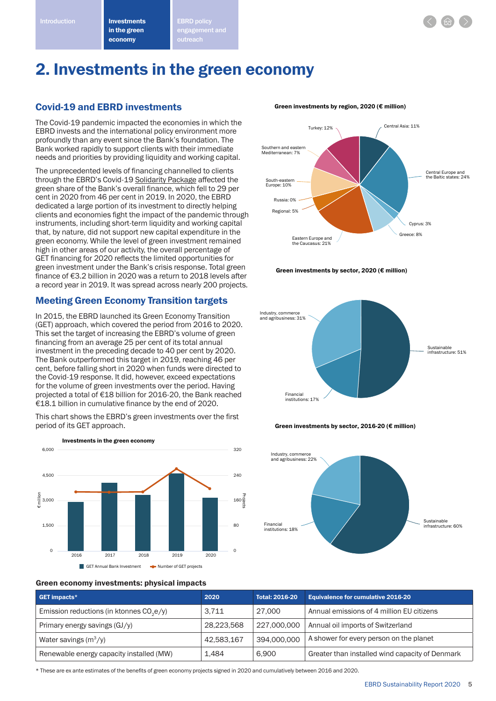

# 2. Investments in the green economy

### Covid-19 and EBRD investments

The Covid-19 pandemic impacted the economies in which the EBRD invests and the international policy environment more profoundly than any event since the Bank's foundation. The Bank worked rapidly to support clients with their immediate needs and priorities by providing liquidity and working capital.

The unprecedented levels of financing channelled to clients through the EBRD's Covid-19 Solidarity Package affected the green share of the Bank's overall finance, which fell to 29 per cent in 2020 from 46 per cent in 2019. In 2020, the EBRD dedicated a large portion of its investment to directly helping clients and economies fight the impact of the pandemic through instruments, including short-term liquidity and working capital that, by nature, did not support new capital expenditure in the green economy. While the level of green investment remained high in other areas of our activity, the overall percentage of GET financing for 2020 reflects the limited opportunities for green investment under the Bank's crisis response. Total green finance of €3.2 billion in 2020 was a return to 2018 levels after a record year in 2019. It was spread across nearly 200 projects.

# Meeting Green Economy Transition targets

In 2015, the EBRD launched its Green Economy Transition (GET) approach, which covered the period from 2016 to 2020. This set the target of increasing the EBRD's volume of green financing from an average 25 per cent of its total annual investment in the preceding decade to 40 per cent by 2020. The Bank outperformed this target in 2019, reaching 46 per cent, before falling short in 2020 when funds were directed to the Covid-19 response. It did, however, exceed expectations for the volume of green investments over the period. Having projected a total of €18 billion for 2016-20, the Bank reached €18.1 billion in cumulative finance by the end of 2020.

This chart shows the EBRD's green investments over the first period of its GET approach.



#### Green investments by region, 2020 (€ million)



Green investments by sector, 2020 (€ million)







#### Green economy investments: physical impacts

| <b>GET impacts*</b>                                  | 2020       | <b>Total: 2016-20</b> | <b>Equivalence for cumulative 2016-20</b>       |
|------------------------------------------------------|------------|-----------------------|-------------------------------------------------|
| Emission reductions (in ktonnes CO <sub>2</sub> e/y) | 3.711      | 27,000                | Annual emissions of 4 million EU citizens       |
| Primary energy savings $(GJ/\gamma)$                 | 28.223.568 | 227,000,000           | Annual oil imports of Switzerland               |
| Water savings $(m^3/v)$                              | 42,583,167 | 394.000.000           | A shower for every person on the planet         |
| Renewable energy capacity installed (MW)             | 1.484      | 6,900                 | Greater than installed wind capacity of Denmark |

\* These are ex ante estimates of the benefits of green economy projects signed in 2020 and cumulatively between 2016 and 2020.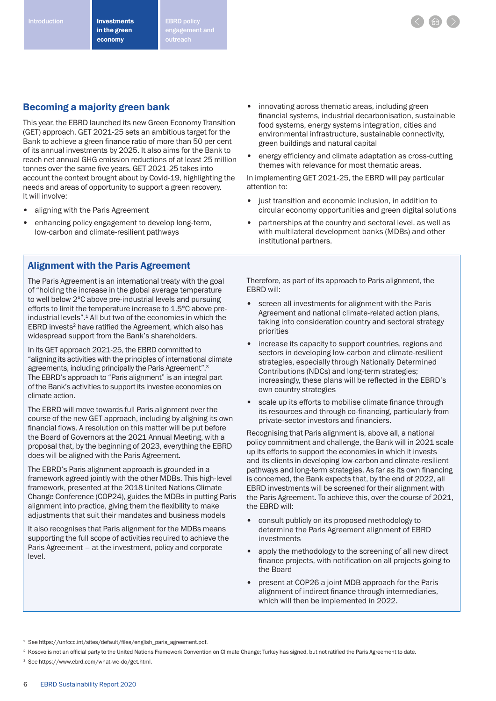# Becoming a majority green bank

This year, the EBRD launched its new Green Economy Transition (GET) approach. GET 2021-25 sets an ambitious target for the Bank to achieve a green finance ratio of more than 50 per cent of its annual investments by 2025. It also aims for the Bank to reach net annual GHG emission reductions of at least 25 million tonnes over the same five years. GET 2021-25 takes into account the context brought about by Covid-19, highlighting the needs and areas of opportunity to support a green recovery. It will involve:

- aligning with the Paris Agreement
- enhancing policy engagement to develop long-term, low-carbon and climate-resilient pathways
- Alignment with the Paris Agreement

The Paris Agreement is an international treaty with the goal of "holding the increase in the global average temperature to well below 2°C above pre-industrial levels and pursuing efforts to limit the temperature increase to 1.5°C above preindustrial levels".<sup>1</sup> All but two of the economies in which the EBRD invests<sup>2</sup> have ratified the Agreement, which also has widespread support from the Bank's shareholders.

In its GET approach 2021-25, the EBRD committed to "aligning its activities with the principles of international climate agreements, including principally the Paris Agreement".3 The EBRD's approach to "Paris alignment" is an integral part of the Bank's activities to support its investee economies on climate action.

The EBRD will move towards full Paris alignment over the course of the new GET approach, including by aligning its own financial flows. A resolution on this matter will be put before the Board of Governors at the 2021 Annual Meeting, with a proposal that, by the beginning of 2023, everything the EBRD does will be aligned with the Paris Agreement.

The EBRD's Paris alignment approach is grounded in a framework agreed jointly with the other MDBs. This high-level framework, presented at the 2018 United Nations Climate Change Conference (COP24), guides the MDBs in putting Paris alignment into practice, giving them the flexibility to make adjustments that suit their mandates and business models

It also recognises that Paris alignment for the MDBs means supporting the full scope of activities required to achieve the Paris Agreement – at the investment, policy and corporate level.

- innovating across thematic areas, including green financial systems, industrial decarbonisation, sustainable food systems, energy systems integration, cities and environmental infrastructure, sustainable connectivity, green buildings and natural capital
- energy efficiency and climate adaptation as cross-cutting themes with relevance for most thematic areas.

In implementing GET 2021-25, the EBRD will pay particular attention to:

- just transition and economic inclusion, in addition to circular economy opportunities and green digital solutions
- partnerships at the country and sectoral level, as well as with multilateral development banks (MDBs) and other institutional partners.

Therefore, as part of its approach to Paris alignment, the EBRD will:

- screen all investments for alignment with the Paris Agreement and national climate-related action plans, taking into consideration country and sectoral strategy priorities
- increase its capacity to support countries, regions and sectors in developing low-carbon and climate-resilient strategies, especially through Nationally Determined Contributions (NDCs) and long-term strategies; increasingly, these plans will be reflected in the EBRD's own country strategies
- scale up its efforts to mobilise climate finance through its resources and through co-financing, particularly from private-sector investors and financiers.

Recognising that Paris alignment is, above all, a national policy commitment and challenge, the Bank will in 2021 scale up its efforts to support the economies in which it invests and its clients in developing low-carbon and climate-resilient pathways and long-term strategies. As far as its own financing is concerned, the Bank expects that, by the end of 2022, all EBRD investments will be screened for their alignment with the Paris Agreement. To achieve this, over the course of 2021, the EBRD will:

- consult publicly on its proposed methodology to determine the Paris Agreement alignment of EBRD investments
- apply the methodology to the screening of all new direct finance projects, with notification on all projects going to the Board
- present at COP26 a joint MDB approach for the Paris alignment of indirect finance through intermediaries, which will then be implemented in 2022.

<sup>1</sup> See https://unfccc.int/sites/default/files/english\_paris\_agreement.pdf.

<sup>2</sup> Kosovo is not an official party to the United Nations Framework Convention on Climate Change; Turkey has signed, but not ratified the Paris Agreement to date.

3 See https://www.ebrd.com/what-we-do/get.html.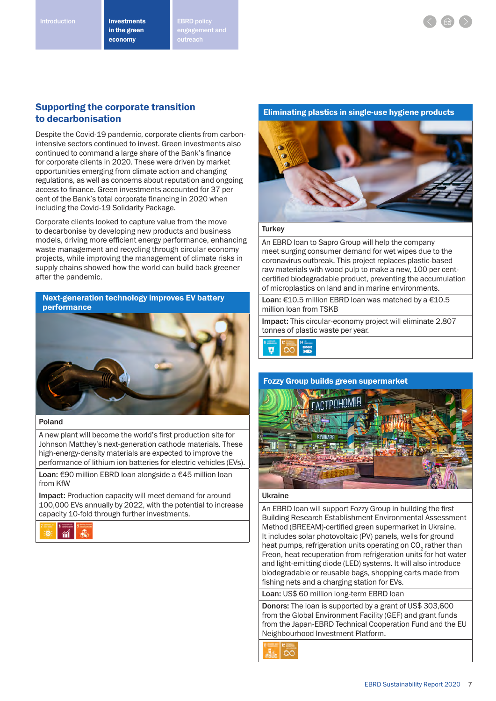# Supporting the corporate transition to decarbonisation

Despite the Covid-19 pandemic, corporate clients from carbonintensive sectors continued to invest. Green investments also continued to command a large share of the Bank's finance for corporate clients in 2020. These were driven by market opportunities emerging from climate action and changing regulations, as well as concerns about reputation and ongoing access to finance. Green investments accounted for 37 per cent of the Bank's total corporate financing in 2020 when including the Covid-19 Solidarity Package.

Corporate clients looked to capture value from the move to decarbonise by developing new products and business models, driving more efficient energy performance, enhancing waste management and recycling through circular economy projects, while improving the management of climate risks in supply chains showed how the world can build back greener after the pandemic.

Next-generation technology improves EV battery performance



#### Poland

A new plant will become the world's first production site for Johnson Matthey's next-generation cathode materials. These high-energy-density materials are expected to improve the performance of lithium ion batteries for electric vehicles (EVs).

Loan: €90 million EBRD loan alongside a €45 million loan from KfW

Impact: Production capacity will meet demand for around 100,000 EVs annually by 2022, with the potential to increase capacity 10-fold through further investments.



### Eliminating plastics in single-use hygiene products



#### **Turkey**

An EBRD loan to Sapro Group will help the company meet surging consumer demand for wet wipes due to the coronavirus outbreak. This project replaces plastic-based raw materials with wood pulp to make a new, 100 per centcertified biodegradable product, preventing the accumulation of microplastics on land and in marine environments.

Loan: €10.5 million EBRD loan was matched by a €10.5 million loan from TSKB

Impact: This circular-economy project will eliminate 2,807 tonnes of plastic waste per year.



#### Fozzy Group builds green supermarket



### Ukraine

An EBRD loan will support Fozzy Group in building the first Building Research Establishment Environmental Assessment Method (BREEAM)-certified green supermarket in Ukraine. It includes solar photovoltaic (PV) panels, wells for ground heat pumps, refrigeration units operating on CO<sub>2</sub> rather than Freon, heat recuperation from refrigeration units for hot water and light-emitting diode (LED) systems. It will also introduce biodegradable or reusable bags, shopping carts made from fishing nets and a charging station for EVs.

Loan: US\$ 60 million long-term EBRD loan

Donors: The loan is supported by a grant of US\$ 303,600 from the Global Environment Facility (GEF) and grant funds from the Japan-EBRD Technical Cooperation Fund and the EU Neighbourhood Investment Platform.

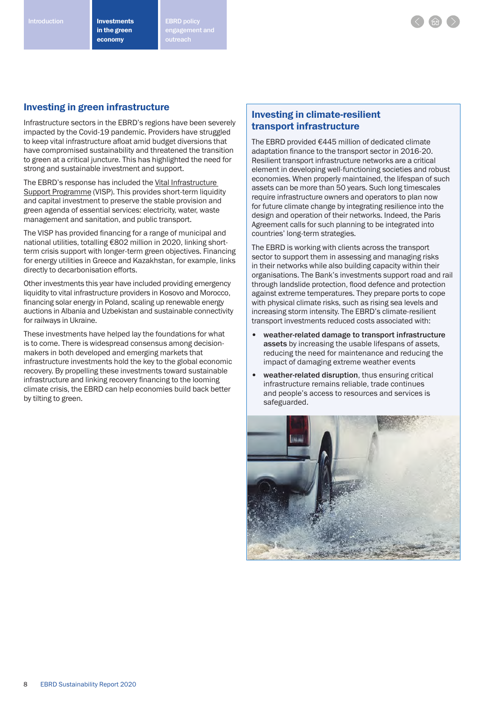Introduction **ERRICH Investments** EBRD policy engagement and

# Investing in green infrastructure

Infrastructure sectors in the EBRD's regions have been severely impacted by the Covid-19 pandemic. Providers have struggled to keep vital infrastructure afloat amid budget diversions that have compromised sustainability and threatened the transition to green at a critical juncture. This has highlighted the need for strong and sustainable investment and support.

The EBRD's response has included the Vital Infrastructure Support Programme (VISP). This provides short-term liquidity and capital investment to preserve the stable provision and green agenda of essential services: electricity, water, waste management and sanitation, and public transport.

The VISP has provided financing for a range of municipal and national utilities, totalling €802 million in 2020, linking shortterm crisis support with longer-term green objectives. Financing for energy utilities in Greece and Kazakhstan, for example, links directly to decarbonisation efforts.

Other investments this year have included providing emergency liquidity to vital infrastructure providers in Kosovo and Morocco, financing solar energy in Poland, scaling up renewable energy auctions in Albania and Uzbekistan and sustainable connectivity for railways in Ukraine.

These investments have helped lay the foundations for what is to come. There is widespread consensus among decisionmakers in both developed and emerging markets that infrastructure investments hold the key to the global economic recovery. By propelling these investments toward sustainable infrastructure and linking recovery financing to the looming climate crisis, the EBRD can help economies build back better by tilting to green.

# Investing in climate-resilient transport infrastructure

The EBRD provided €445 million of dedicated climate adaptation finance to the transport sector in 2016-20. Resilient transport infrastructure networks are a critical element in developing well-functioning societies and robust economies. When properly maintained, the lifespan of such assets can be more than 50 years. Such long timescales require infrastructure owners and operators to plan now for future climate change by integrating resilience into the design and operation of their networks. Indeed, the Paris Agreement calls for such planning to be integrated into countries' long-term strategies.

The EBRD is working with clients across the transport sector to support them in assessing and managing risks in their networks while also building capacity within their organisations. The Bank's investments support road and rail through landslide protection, flood defence and protection against extreme temperatures. They prepare ports to cope with physical climate risks, such as rising sea levels and increasing storm intensity. The EBRD's climate-resilient transport investments reduced costs associated with:

- weather-related damage to transport infrastructure assets by increasing the usable lifespans of assets, reducing the need for maintenance and reducing the impact of damaging extreme weather events
- weather-related disruption, thus ensuring critical infrastructure remains reliable, trade continues and people's access to resources and services is safeguarded.

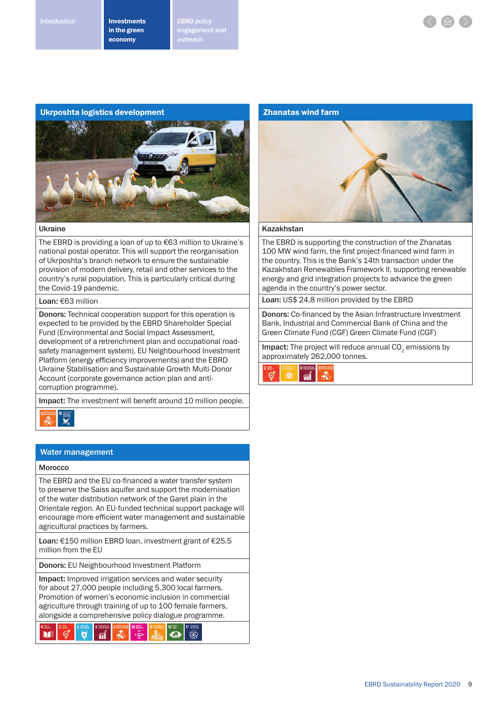Introduction **ERRIC Investments** EBRD policy engagement and outreach

#### Ukrposhta logistics development



#### Ukraine

The EBRD is providing a loan of up to €63 million to Ukraine's national postal operator. This will support the reorganisation of Ukrposhta's branch network to ensure the sustainable provision of modern delivery, retail and other services to the country's rural population. This is particularly critical during the Covid-19 pandemic.

#### Loan: €63 million

Donors: Technical cooperation support for this operation is expected to be provided by the EBRD Shareholder Special Fund (Environmental and Social Impact Assessment, development of a retrenchment plan and occupational roadsafety management system), EU Neighbourhood Investment Platform (energy efficiency improvements) and the EBRD Ukraine Stabilisation and Sustainable Growth Multi-Donor Account (corporate governance action plan and anticorruption programme).

Impact: The investment will benefit around 10 million people.



### Water management

#### Morocco

The EBRD and the EU co-financed a water transfer system to preserve the Saiss aquifer and support the modernisation of the water distribution network of the Garet plain in the Orientale region. An EU-funded technical support package will encourage more efficient water management and sustainable agricultural practices by farmers.

Loan: €150 million EBRD loan, investment grant of €25.5 million from the EU

Donors: EU Neighbourhood Investment Platform

Impact: Improved irrigation services and water security for about 27,000 people including 5,300 local farmers. Promotion of women's economic inclusion in commercial agriculture through training of up to 100 female farmers, alongside a comprehensive policy dialogue programme.



#### Zhanatas wind farm



#### Kazakhstan

The EBRD is supporting the construction of the Zhanatas 100 MW wind farm, the first project-financed wind farm in the country. This is the Bank's 14th transaction under the Kazakhstan Renewables Framework II, supporting renewable energy and grid integration projects to advance the green agenda in the country's power sector.

Loan: US\$ 24.8 million provided by the EBRD

Donors: Co-financed by the Asian Infrastructure Investment Bank, Industrial and Commercial Bank of China and the Green Climate Fund (CGF) Green Climate Fund (CGF)

Impact: The project will reduce annual CO<sub>2</sub> emissions by approximately 262,000 tonnes.

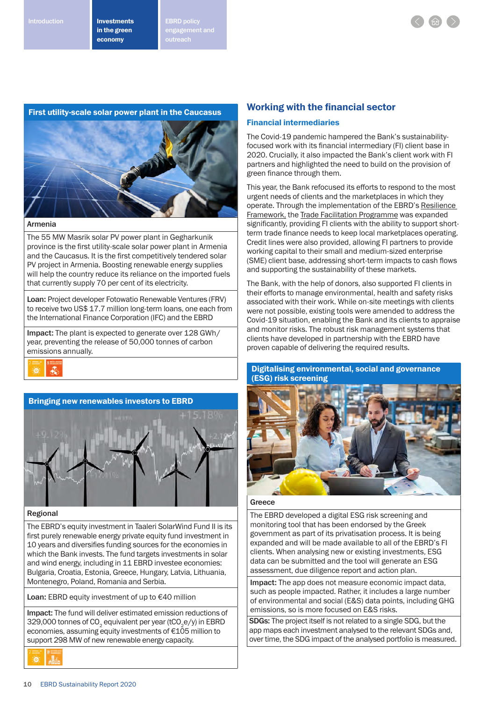Introduction **ERRICH Investments** EBRD policy engagement and



#### First utility-scale solar power plant in the Caucasus



#### Armenia

The 55 MW Masrik solar PV power plant in Gegharkunik province is the first utility-scale solar power plant in Armenia and the Caucasus. It is the first competitively tendered solar PV project in Armenia. Boosting renewable energy supplies will help the country reduce its reliance on the imported fuels that currently supply 70 per cent of its electricity.

Loan: Project developer Fotowatio Renewable Ventures (FRV) to receive two US\$ 17.7 million long-term loans, one each from the International Finance Corporation (IFC) and the EBRD

Impact: The plant is expected to generate over 128 GWh/ year, preventing the release of 50,000 tonnes of carbon emissions annually.







#### Regional

The EBRD's equity investment in Taaleri SolarWind Fund II is its first purely renewable energy private equity fund investment in 10 years and diversifies funding sources for the economies in which the Bank invests. The fund targets investments in solar and wind energy, including in 11 EBRD investee economies: Bulgaria, Croatia, Estonia, Greece, Hungary, Latvia, Lithuania, Montenegro, Poland, Romania and Serbia.

Loan: EBRD equity investment of up to €40 million

Impact: The fund will deliver estimated emission reductions of 329,000 tonnes of CO<sub>2</sub> equivalent per year (tCO<sub>2</sub>e/y) in EBRD economies, assuming equity investments of €105 million to support 298 MW of new renewable energy capacity.



#### Financial intermediaries

The Covid-19 pandemic hampered the Bank's sustainabilityfocused work with its financial intermediary (FI) client base in 2020. Crucially, it also impacted the Bank's client work with FI partners and highlighted the need to build on the provision of green finance through them.

This year, the Bank refocused its efforts to respond to the most urgent needs of clients and the marketplaces in which they operate. Through the implementation of the EBRD's Resilience Framework, the Trade Facilitation Programme was expanded significantly, providing FI clients with the ability to support shortterm trade finance needs to keep local marketplaces operating. Credit lines were also provided, allowing FI partners to provide working capital to their small and medium-sized enterprise (SME) client base, addressing short-term impacts to cash flows and supporting the sustainability of these markets.

The Bank, with the help of donors, also supported FI clients in their efforts to manage environmental, health and safety risks associated with their work. While on-site meetings with clients were not possible, existing tools were amended to address the Covid-19 situation, enabling the Bank and its clients to appraise and monitor risks. The robust risk management systems that clients have developed in partnership with the EBRD have proven capable of delivering the required results.

Digitalising environmental, social and governance (ESG) risk screening



#### Greece

The EBRD developed a digital ESG risk screening and monitoring tool that has been endorsed by the Greek government as part of its privatisation process. It is being expanded and will be made available to all of the EBRD's FI clients. When analysing new or existing investments, ESG data can be submitted and the tool will generate an ESG assessment, due diligence report and action plan.

Impact: The app does not measure economic impact data, such as people impacted. Rather, it includes a large number of environmental and social (E&S) data points, including GHG emissions, so is more focused on E&S risks.

SDGs: The project itself is not related to a single SDG, but the app maps each investment analysed to the relevant SDGs and, over time, the SDG impact of the analysed portfolio is measured.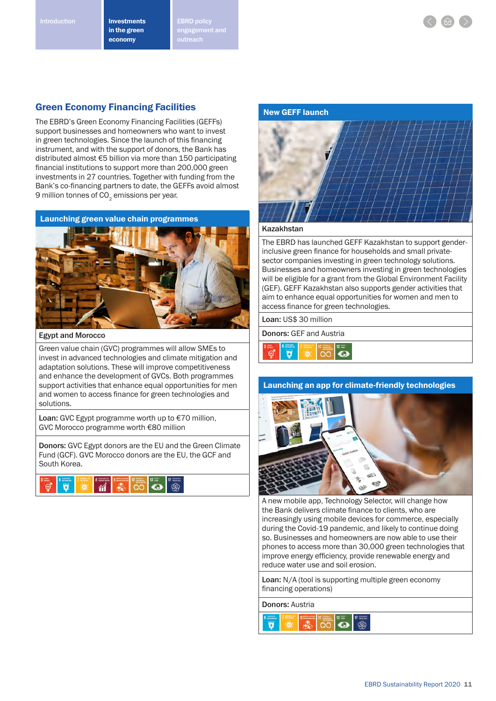Introduction **ERRIC Investments** EBRD policy engagement and outreach

### Green Economy Financing Facilities

The EBRD's Green Economy Financing Facilities (GEFFs) support businesses and homeowners who want to invest in green technologies. Since the launch of this financing instrument, and with the support of donors, the Bank has distributed almost €5 billion via more than 150 participating financial institutions to support more than 200,000 green investments in 27 countries. Together with funding from the Bank's co-financing partners to date, the GEFFs avoid almost 9 million tonnes of  $CO<sub>2</sub>$  emissions per year.



Egypt and Morocco

Green value chain (GVC) programmes will allow SMEs to invest in advanced technologies and climate mitigation and adaptation solutions. These will improve competitiveness and enhance the development of GVCs. Both programmes support activities that enhance equal opportunities for men and women to access finance for green technologies and solutions.

Loan: GVC Egypt programme worth up to €70 million, GVC Morocco programme worth €80 million

Donors: GVC Egypt donors are the EU and the Green Climate Fund (GCF). GVC Morocco donors are the EU, the GCF and South Korea.







#### Kazakhstan

The EBRD has launched GEFF Kazakhstan to support genderinclusive green finance for households and small privatesector companies investing in green technology solutions. Businesses and homeowners investing in green technologies will be eligible for a grant from the Global Environment Facility (GEF). GEFF Kazakhstan also supports gender activities that aim to enhance equal opportunities for women and men to access finance for green technologies.

Loan: US\$ 30 million

Donors: GEF and Austria



#### Launching an app for climate-friendly technologies



A new mobile app, Technology Selector, will change how the Bank delivers climate finance to clients, who are increasingly using mobile devices for commerce, especially during the Covid-19 pandemic, and likely to continue doing so. Businesses and homeowners are now able to use their phones to access more than 30,000 green technologies that improve energy efficiency, provide renewable energy and reduce water use and soil erosion.

Loan: N/A (tool is supporting multiple green economy financing operations)

Donors: Austria

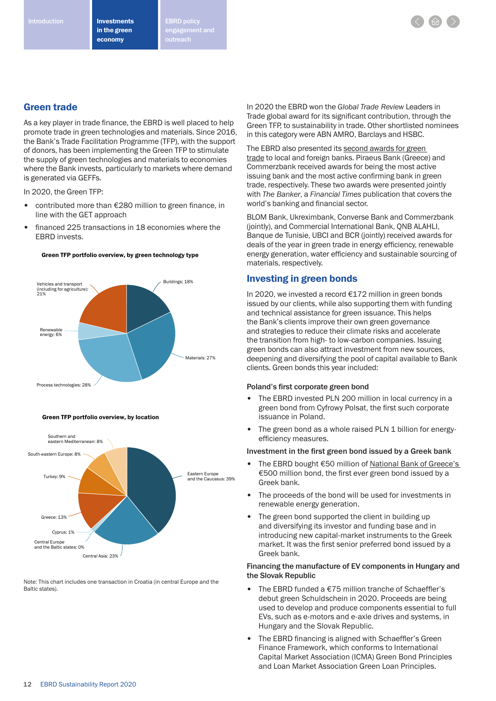Introduction **ERRICH Investments** EBRD policy engagement and



As a key player in trade finance, the EBRD is well placed to help promote trade in green technologies and materials. Since 2016, the Bank's Trade Facilitation Programme (TFP), with the support of donors, has been implementing the Green TFP to stimulate the supply of green technologies and materials to economies where the Bank invests, particularly to markets where demand is generated via GEFFs.

In 2020, the Green TFP:

- contributed more than €280 million to green finance, in line with the GET approach
- financed 225 transactions in 18 economies where the EBRD invests.

Green TFP portfolio overview, by green technology type





Note: This chart includes one transaction in Croatia (in central Europe and the Baltic states).

In 2020 the EBRD won the *Global Trade Review* Leaders in Trade global award for its significant contribution, through the Green TFP, to sustainability in trade. Other shortlisted nominees in this category were ABN AMRO, Barclays and HSBC.

The EBRD also presented its second awards for green trade to local and foreign banks. Piraeus Bank (Greece) and Commerzbank received awards for being the most active issuing bank and the most active confirming bank in green trade, respectively. These two awards were presented jointly with *The Banker*, a *Financial Times* publication that covers the world's banking and financial sector.

BLOM Bank, Ukreximbank, Converse Bank and Commerzbank (jointly), and Commercial International Bank, QNB ALAHLI, Banque de Tunisie, UBCI and BCR (jointly) received awards for deals of the year in green trade in energy efficiency, renewable energy generation, water efficiency and sustainable sourcing of materials, respectively.

### Investing in green bonds

In 2020, we invested a record €172 million in green bonds issued by our clients, while also supporting them with funding and technical assistance for green issuance. This helps the Bank's clients improve their own green governance and strategies to reduce their climate risks and accelerate the transition from high- to low-carbon companies. Issuing green bonds can also attract investment from new sources, deepening and diversifying the pool of capital available to Bank clients. Green bonds this year included:

#### Poland's first corporate green bond

- The EBRD invested PLN 200 million in local currency in a green bond from Cyfrowy Polsat, the first such corporate issuance in Poland.
- The green bond as a whole raised PLN 1 billion for energyefficiency measures.

#### Investment in the first green bond issued by a Greek bank

- The EBRD bought €50 million of National Bank of Greece's €500 million bond, the first ever green bond issued by a Greek bank.
- The proceeds of the bond will be used for investments in renewable energy generation.
- The green bond supported the client in building up and diversifying its investor and funding base and in introducing new capital-market instruments to the Greek market. It was the first senior preferred bond issued by a Greek bank.

#### Financing the manufacture of EV components in Hungary and the Slovak Republic

- The FBRD funded a  $£75$  million tranche of Schaeffler's debut green Schuldschein in 2020. Proceeds are being used to develop and produce components essential to full EVs, such as e-motors and e-axle drives and systems, in Hungary and the Slovak Republic.
- The EBRD financing is aligned with Schaeffler's Green Finance Framework, which conforms to International Capital Market Association (ICMA) Green Bond Principles and Loan Market Association Green Loan Principles.



Green TFP portfolio overview, by location